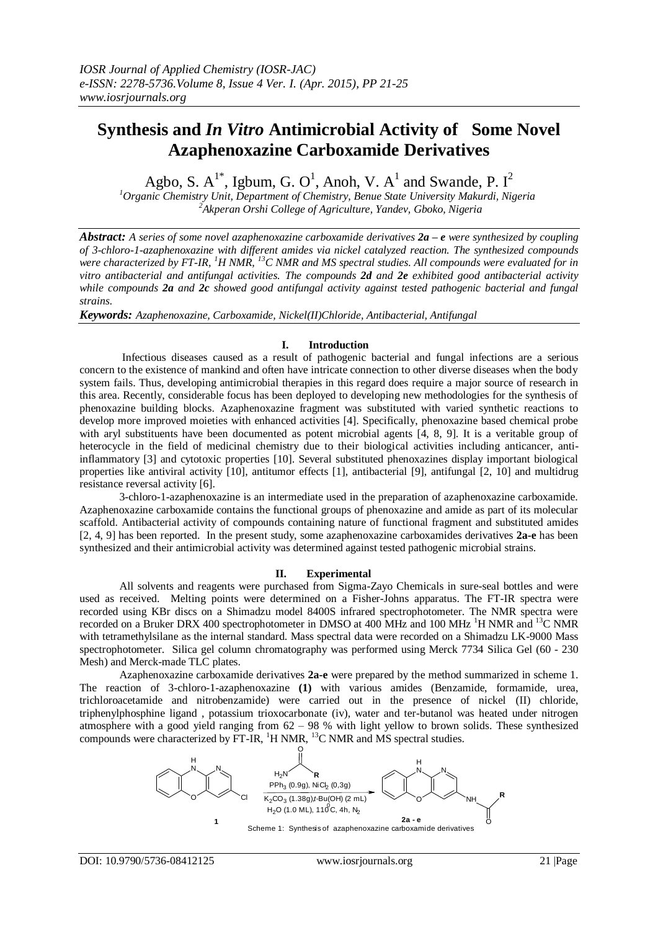# **Synthesis and** *In Vitro* **Antimicrobial Activity of Some Novel Azaphenoxazine Carboxamide Derivatives**

Agbo, S.  $A^{1*}$ , Igbum, G. O<sup>1</sup>, Anoh, V.  $A^{1}$  and Swande, P. I<sup>2</sup>

*<sup>1</sup>Organic Chemistry Unit, Department of Chemistry, Benue State University Makurdi, Nigeria <sup>2</sup>Akperan Orshi College of Agriculture, Yandev, Gboko, Nigeria*

*Abstract: A series of some novel azaphenoxazine carboxamide derivatives 2a – e were synthesized by coupling of 3-chloro-1-azaphenoxazine with different amides via nickel catalyzed reaction. The synthesized compounds were characterized by FT-IR, <sup>1</sup>H NMR, <sup>13</sup>C NMR and MS spectral studies. All compounds were evaluated for in vitro antibacterial and antifungal activities. The compounds 2d and 2e exhibited good antibacterial activity while compounds 2a and 2c showed good antifungal activity against tested pathogenic bacterial and fungal strains.*

*Keywords: Azaphenoxazine, Carboxamide, Nickel(II)Chloride, Antibacterial, Antifungal* **\_\_\_**

## **I. Introduction**

Infectious diseases caused as a result of pathogenic bacterial and fungal infections are a serious concern to the existence of mankind and often have intricate connection to other diverse diseases when the body system fails. Thus, developing antimicrobial therapies in this regard does require a major source of research in this area. Recently, considerable focus has been deployed to developing new methodologies for the synthesis of phenoxazine building blocks. Azaphenoxazine fragment was substituted with varied synthetic reactions to develop more improved moieties with enhanced activities [4]. Specifically, phenoxazine based chemical probe with aryl substituents have been documented as potent microbial agents [4, 8, 9]. It is a veritable group of heterocycle in the field of medicinal chemistry due to their biological activities including anticancer, antiinflammatory [3] and cytotoxic properties [10]. Several substituted phenoxazines display important biological properties like antiviral activity [10], antitumor effects [1], antibacterial [9], antifungal [2, 10] and multidrug resistance reversal activity [6].

3-chloro-1-azaphenoxazine is an intermediate used in the preparation of azaphenoxazine carboxamide. Azaphenoxazine carboxamide contains the functional groups of phenoxazine and amide as part of its molecular scaffold. Antibacterial activity of compounds containing nature of functional fragment and substituted amides [2, 4, 9] has been reported. In the present study, some azaphenoxazine carboxamides derivatives **2a-e** has been synthesized and their antimicrobial activity was determined against tested pathogenic microbial strains.

# **II. Experimental**

All solvents and reagents were purchased from Sigma-Zayo Chemicals in sure-seal bottles and were used as received. Melting points were determined on a Fisher-Johns apparatus. The FT-IR spectra were recorded using KBr discs on a Shimadzu model 8400S infrared spectrophotometer. The NMR spectra were recorded on a Bruker DRX 400 spectrophotometer in DMSO at 400 MHz and 100 MHz <sup>1</sup>H NMR and <sup>13</sup>C NMR with tetramethylsilane as the internal standard. Mass spectral data were recorded on a Shimadzu LK-9000 Mass spectrophotometer. Silica gel column chromatography was performed using Merck 7734 Silica Gel (60 - 230 Mesh) and Merck-made TLC plates.

Azaphenoxazine carboxamide derivatives **2a-e** were prepared by the method summarized in scheme 1. The reaction of 3-chloro-1-azaphenoxazine **(1)** with various amides (Benzamide, formamide, urea, trichloroacetamide and nitrobenzamide) were carried out in the presence of nickel (II) chloride, triphenylphosphine ligand , potassium trioxocarbonate (iv), water and ter-butanol was heated under nitrogen atmosphere with a good yield ranging from  $62 - 98$  % with light yellow to brown solids. These synthesized compounds were characterized by  $\overline{FT-IR}$ ,  $\overline{H}$  NMR,  $\overline{^{13}C}$  NMR and MS spectral studies.

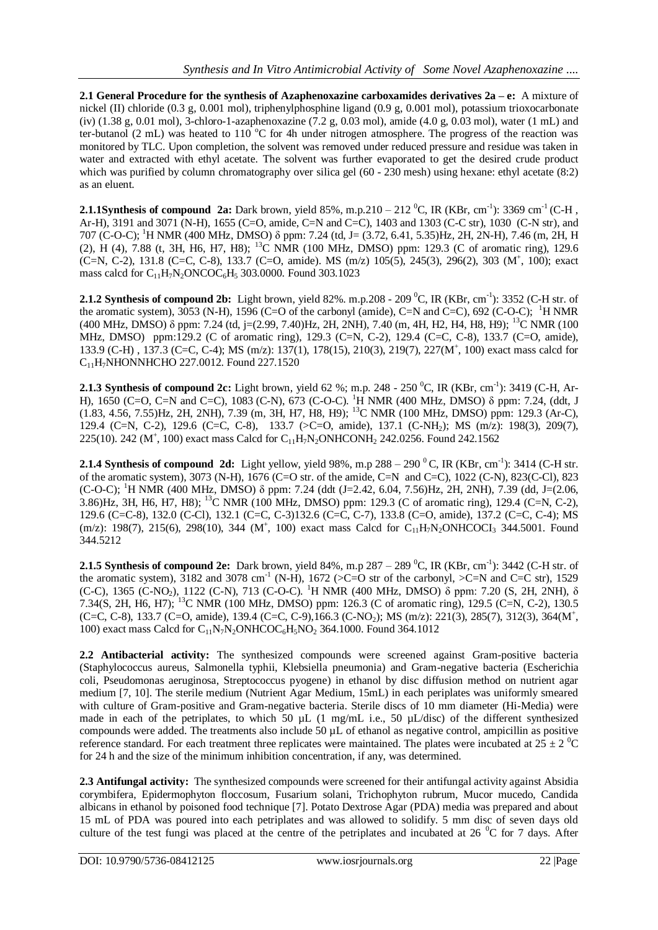**2.1 General Procedure for the synthesis of Azaphenoxazine carboxamides derivatives 2a – e:** A mixture of nickel (II) chloride (0.3 g, 0.001 mol), triphenylphosphine ligand (0.9 g, 0.001 mol), potassium trioxocarbonate (iv) (1.38 g, 0.01 mol), 3-chloro-1-azaphenoxazine (7.2 g, 0.03 mol), amide (4.0 g, 0.03 mol), water (1 mL) and ter-butanol (2 mL) was heated to 110 °C for 4h under nitrogen atmosphere. The progress of the reaction was monitored by TLC. Upon completion, the solvent was removed under reduced pressure and residue was taken in water and extracted with ethyl acetate. The solvent was further evaporated to get the desired crude product which was purified by column chromatography over silica gel (60 - 230 mesh) using hexane: ethyl acetate (8:2) as an eluent.

**2.1.1Synthesis of compound 2a:** Dark brown, yield  $85\%$ , m.p.210 – 212<sup>0</sup>C, IR (KBr, cm<sup>-1</sup>): 3369 cm<sup>-1</sup> (C-H, Ar-H), 3191 and 3071 (N-H), 1655 (C=O, amide, C=N and C=C), 1403 and 1303 (C-C str), 1030 (C-N str), and 707 (C-O-C); <sup>1</sup>H NMR (400 MHz, DMSO) δ ppm: 7.24 (td, J= (3.72, 6.41, 5.35)Hz, 2H, 2N-H), 7.46 (m, 2H, H (2), H (4), 7.88 (t, 3H, H6, H7, H8); <sup>13</sup>C NMR (100 MHz, DMSO) ppm: 129.3 (C of aromatic ring), 129.6 (C=N, C-2), 131.8 (C=C, C-8), 133.7 (C=O, amide). MS (m/z) 105(5), 245(3), 296(2), 303 (M<sup>+</sup>, 100); exact mass calcd for  $C_{11}H_7N_2ONCOC_6H_5$  303.0000. Found 303.1023

**2.1.2** Synthesis of compound 2b: Light brown, yield 82%. m.p.208 - 209  $^0$ C, IR (KBr, cm<sup>-1</sup>): 3352 (C-H str. of the aromatic system), 3053 (N-H), 1596 (C=O of the carbonyl (amide), C=N and C=C), 692 (C-O-C); <sup>1</sup>H NMR (400 MHz, DMSO) δ ppm: 7.24 (td, j=(2.99, 7.40)Hz, 2H, 2NH), 7.40 (m, 4H, H2, H4, H8, H9); <sup>13</sup>C NMR (100 MHz, DMSO) ppm:129.2 (C of aromatic ring), 129.3 (C=N, C-2), 129.4 (C=C, C-8), 133.7 (C=O, amide), 133.9 (C-H) , 137.3 (C=C, C-4); MS (m/z): 137(1), 178(15), 210(3), 219(7), 227(M + , 100) exact mass calcd for C11H7NHONNHCHO 227.0012. Found 227.1520

**2.1.3** Synthesis of compound 2c: Light brown, yield 62 %; m.p. 248 - 250  $^0$ C, IR (KBr, cm<sup>-1</sup>): 3419 (C-H, Ar-H), 1650 (C=O, C=N and C=C), 1083 (C-N), 673 (C-O-C). <sup>1</sup>H NMR (400 MHz, DMSO) δ ppm: 7.24, (ddt, J (1.83, 4.56, 7.55)Hz, 2H, 2NH), 7.39 (m, 3H, H7, H8, H9); <sup>13</sup>C NMR (100 MHz, DMSO) ppm: 129.3 (Ar-C), 129.4 (C=N, C-2), 129.6 (C=C, C-8), 133.7 (>C=O, amide), 137.1 (C-NH2); MS (m/z): 198(3), 209(7), 225(10). 242 (M<sup>+</sup>, 100) exact mass Calcd for C<sub>11</sub>H<sub>7</sub>N<sub>2</sub>ONHCONH<sub>2</sub> 242.0256. Found 242.1562

**2.1.4 Synthesis of compound 2d:** Light yellow, yield 98%, m.p  $288 - 290^\circ$  C, IR (KBr, cm<sup>-1</sup>): 3414 (C-H str. of the aromatic system), 3073 (N-H), 1676 (C=O str. of the amide, C=N and C=C), 1022 (C-N), 823(C-Cl), 823  $(C-O-C)$ ; <sup>1</sup>H NMR (400 MHz, DMSO)  $\delta$  ppm: 7.24 (ddt (J=2.42, 6.04, 7.56)Hz, 2H, 2NH), 7.39 (dd, J=(2.06, 3.86)Hz, 3H, H6, H7, H8); <sup>13</sup>C NMR (100 MHz, DMSO) ppm: 129.3 (C of aromatic ring), 129.4 (C=N, C-2), 129.6 (C=C-8), 132.0 (C-Cl), 132.1 (C=C, C-3)132.6 (C=C, C-7), 133.8 (C=O, amide), 137.2 (C=C, C-4); MS (m/z): 198(7), 215(6), 298(10), 344 (M<sup>+</sup>, 100) exact mass Calcd for C<sub>11</sub>H<sub>7</sub>N<sub>2</sub>ONHCOCI<sub>3</sub> 344.5001. Found 344.5212

**2.1.5** Synthesis of compound 2e: Dark brown, yield  $84\%$ , m.p  $287 - 289 \degree$ C, IR (KBr, cm<sup>-1</sup>): 3442 (C-H str. of the aromatic system),  $3182$  and  $3078 \text{ cm}^{-1}$  (N-H),  $1672$  (>C=O str of the carbonyl, >C=N and C=C str), 1529 (C-C), 1365 (C-NO<sub>2</sub>), 1122 (C-N), 713 (C-O-C). <sup>1</sup>H NMR (400 MHz, DMSO) δ ppm: 7.20 (S, 2H, 2NH), δ 7.34(S, 2H, H6, H7); <sup>13</sup>C NMR (100 MHz, DMSO) ppm: 126.3 (C of aromatic ring), 129.5 (C=N, C-2), 130.5  $(C=C, C-8)$ , 133.7  $(C=O, \text{ amide})$ , 139.4  $(C=C, C-9)$ , 166.3  $(C-NO<sub>2</sub>)$ ; MS  $(m/z)$ : 221(3), 285(7), 312(3), 364(M<sup>+</sup>, 100) exact mass Calcd for  $C_{11}N_7N_2ONHCOC_6H_5NO_2$  364.1000. Found 364.1012

**2.2 Antibacterial activity:** The synthesized compounds were screened against Gram-positive bacteria (Staphylococcus aureus, Salmonella typhii, Klebsiella pneumonia) and Gram-negative bacteria (Escherichia coli, Pseudomonas aeruginosa, Streptococcus pyogene) in ethanol by disc diffusion method on nutrient agar medium [7, 10]. The sterile medium (Nutrient Agar Medium, 15mL) in each periplates was uniformly smeared with culture of Gram-positive and Gram-negative bacteria. Sterile discs of 10 mm diameter (Hi-Media) were made in each of the petriplates, to which 50  $\mu$ L (1 mg/mL i.e., 50  $\mu$ L/disc) of the different synthesized compounds were added. The treatments also include 50 µL of ethanol as negative control, ampicillin as positive reference standard. For each treatment three replicates were maintained. The plates were incubated at  $25 \pm 2$  °C for 24 h and the size of the minimum inhibition concentration, if any, was determined.

**2.3 Antifungal activity:** The synthesized compounds were screened for their antifungal activity against Absidia corymbifera, Epidermophyton floccosum, Fusarium solani, Trichophyton rubrum, Mucor mucedo, Candida albicans in ethanol by poisoned food technique [7]. Potato Dextrose Agar (PDA) media was prepared and about 15 mL of PDA was poured into each petriplates and was allowed to solidify. 5 mm disc of seven days old culture of the test fungi was placed at the centre of the petriplates and incubated at 26  $\rm{^0C}$  for 7 days. After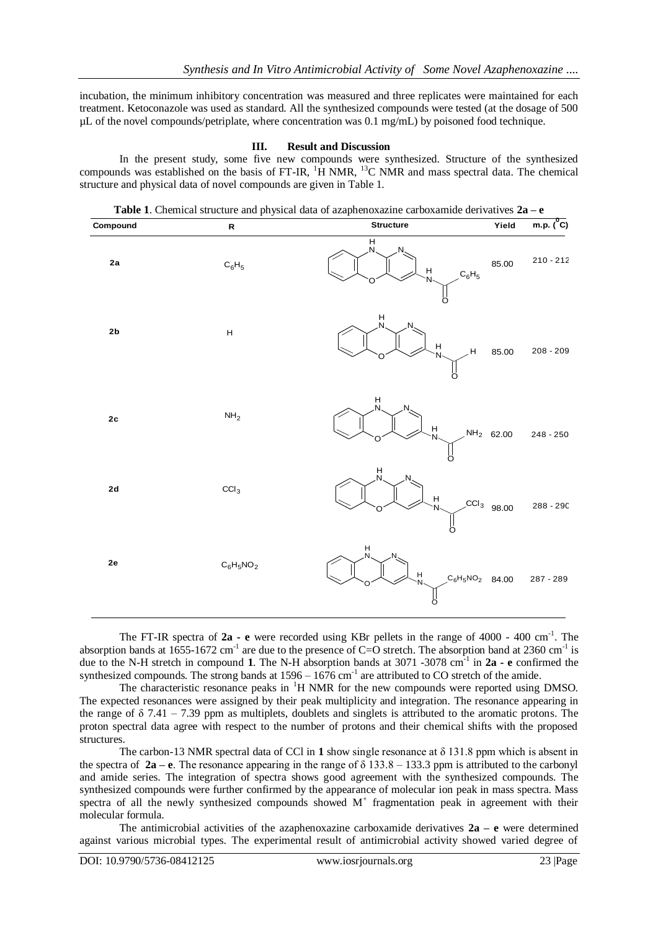incubation, the minimum inhibitory concentration was measured and three replicates were maintained for each treatment. Ketoconazole was used as standard. All the synthesized compounds were tested (at the dosage of 500  $\mu$ L of the novel compounds/petriplate, where concentration was 0.1 mg/mL) by poisoned food technique.

## **III. Result and Discussion**

In the present study, some five new compounds were synthesized. Structure of the synthesized compounds was established on the basis of FT-IR,  ${}^{1}H$  NMR,  ${}^{13}C$  NMR and mass spectral data. The chemical structure and physical data of novel compounds are given in Table 1.

**Table 1**. Chemical structure and physical data of azaphenoxazine carboxamide derivatives **2a – e**  $\frac{1}{100}$ **Compound Structure Yield m.p. (0C) R** H  $N$   $\mathcal{N}$ 210 - 212  $2a$ 85.00  $C_6H_5$ H  $C_6H_5$ N O **2b** H O H  $N$   $\mathcal{N}$ H 208 - 209 85.00 H N O **2c** NH<sub>2</sub> O H  $N$   $\mathcal{N}$ . H  $NH<sub>2</sub>$ 62.00 248 - 250 N O **2d** CCl<sub>3</sub> O H  $N_{\sim}$   $\sim$   $N_{\rm}$ . H  $CCI<sub>3</sub>$ 288 - 290 98.00 N O **2 e** O  $C_6H_5NO_2$ H  $N_{\sim}$   $\sim$  N.  $2e$  $C_6H_5NO_2$ H 287 - 289 84.00 N O O

The FT-IR spectra of **2a - e** were recorded using KBr pellets in the range of 4000 - 400 cm-1 . The absorption bands at  $1655-1672$  cm<sup>-1</sup> are due to the presence of C=O stretch. The absorption band at 2360 cm<sup>-1</sup> is due to the N-H stretch in compound **1**. The N-H absorption bands at 3071 -3078 cm-1 in **2a - e** confirmed the synthesized compounds. The strong bands at  $1596 - 1676$  cm<sup>-1</sup> are attributed to CO stretch of the amide.

The characteristic resonance peaks in  ${}^{1}H$  NMR for the new compounds were reported using DMSO. The expected resonances were assigned by their peak multiplicity and integration. The resonance appearing in the range of  $\delta$  7.41 – 7.39 ppm as multiplets, doublets and singlets is attributed to the aromatic protons. The proton spectral data agree with respect to the number of protons and their chemical shifts with the proposed structures.

The carbon-13 NMR spectral data of CCl in **1** show single resonance at δ 131.8 ppm which is absent in the spectra of **2a – e**. The resonance appearing in the range of δ 133.8 – 133.3 ppm is attributed to the carbonyl and amide series. The integration of spectra shows good agreement with the synthesized compounds. The synthesized compounds were further confirmed by the appearance of molecular ion peak in mass spectra. Mass spectra of all the newly synthesized compounds showed  $M^+$  fragmentation peak in agreement with their molecular formula.

The antimicrobial activities of the azaphenoxazine carboxamide derivatives **2a – e** were determined against various microbial types. The experimental result of antimicrobial activity showed varied degree of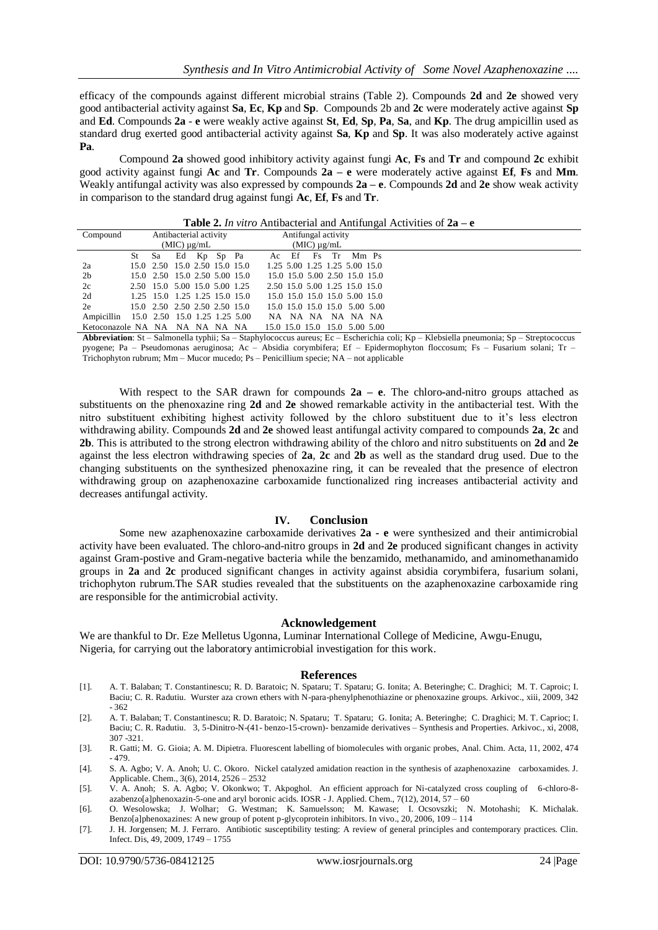efficacy of the compounds against different microbial strains (Table 2). Compounds **2d** and **2e** showed very good antibacterial activity against **Sa**, **Ec**, **Kp** and **Sp**. Compounds 2b and **2c** were moderately active against **Sp** and **Ed**. Compounds **2a** - **e** were weakly active against **St**, **Ed**, **Sp**, **Pa**, **Sa**, and **Kp**. The drug ampicillin used as standard drug exerted good antibacterial activity against **Sa**, **Kp** and **Sp**. It was also moderately active against **Pa**.

Compound **2a** showed good inhibitory activity against fungi **Ac**, **Fs** and **Tr** and compound **2c** exhibit good activity against fungi **Ac** and **Tr**. Compounds **2a – e** were moderately active against **Ef**, **Fs** and **Mm**. Weakly antifungal activity was also expressed by compounds **2a – e**. Compounds **2d** and **2e** show weak activity in comparison to the standard drug against fungi **Ac**, **Ef**, **Fs** and **Tr**.

**Table 2.** *In vitro* Antibacterial and Antifungal Activities of **2a – e**

| Compound                                                     | Antibacterial activity |                               |  |  |  |  | Antifungal activity |  |  |  |                               |  |  |  |  |  |
|--------------------------------------------------------------|------------------------|-------------------------------|--|--|--|--|---------------------|--|--|--|-------------------------------|--|--|--|--|--|
|                                                              | (MIC) $\mu$ g/mL       |                               |  |  |  |  | (MIC) $\mu$ g/mL    |  |  |  |                               |  |  |  |  |  |
|                                                              |                        | St Sa Ed Kp Sp Pa             |  |  |  |  |                     |  |  |  | Ac Ef Fs Tr Mm Ps             |  |  |  |  |  |
| 2a                                                           |                        | 15.0 2.50 15.0 2.50 15.0 15.0 |  |  |  |  |                     |  |  |  | 1.25 5.00 1.25 1.25 5.00 15.0 |  |  |  |  |  |
| 2 <sub>b</sub>                                               |                        | 15.0 2.50 15.0 2.50 5.00 15.0 |  |  |  |  |                     |  |  |  | 15.0 15.0 5.00 2.50 15.0 15.0 |  |  |  |  |  |
| 2c                                                           |                        | 2.50 15.0 5.00 15.0 5.00 1.25 |  |  |  |  |                     |  |  |  | 2.50 15.0 5.00 1.25 15.0 15.0 |  |  |  |  |  |
| 2d                                                           |                        | 1.25 15.0 1.25 1.25 15.0 15.0 |  |  |  |  |                     |  |  |  | 15.0 15.0 15.0 15.0 5.00 15.0 |  |  |  |  |  |
| 2e                                                           |                        | 15.0 2.50 2.50 2.50 2.50 15.0 |  |  |  |  |                     |  |  |  | 15.0 15.0 15.0 15.0 5.00 5.00 |  |  |  |  |  |
| Ampicillin 15.0 2.50 15.0 1.25 1.25 5.00                     |                        |                               |  |  |  |  |                     |  |  |  | NA NA NA NA NA NA             |  |  |  |  |  |
| Ketoconazole NA NA NA NA NA NA 15.0 15.0 15.0 15.0 5.00 5.00 |                        |                               |  |  |  |  |                     |  |  |  |                               |  |  |  |  |  |
|                                                              |                        |                               |  |  |  |  |                     |  |  |  |                               |  |  |  |  |  |

**Abbreviation**: St – Salmonella typhii; Sa – Staphylococcus aureus; Ec – Escherichia coli; Kp – Klebsiella pneumonia; Sp – Streptococcus pyogene; Pa – Pseudomonas aeruginosa; Ac – Absidia corymbifera; Ef – Epidermophyton floccosum; Fs – Fusarium solani; Tr – Trichophyton rubrum; Mm – Mucor mucedo; Ps – Penicillium specie; NA – not applicable

With respect to the SAR drawn for compounds **2a – e**. The chloro**-**and-nitro groups attached as substituents on the phenoxazine ring **2d** and **2e** showed remarkable activity in the antibacterial test. With the nitro substituent exhibiting highest activity followed by the chloro substituent due to it's less electron withdrawing ability. Compounds **2d** and **2e** showed least antifungal activity compared to compounds **2a**, **2c** and **2b**. This is attributed to the strong electron withdrawing ability of the chloro and nitro substituents on **2d** and **2e** against the less electron withdrawing species of **2a**, **2c** and **2b** as well as the standard drug used. Due to the changing substituents on the synthesized phenoxazine ring, it can be revealed that the presence of electron withdrawing group on azaphenoxazine carboxamide functionalized ring increases antibacterial activity and decreases antifungal activity.

#### **IV. Conclusion**

Some new azaphenoxazine carboxamide derivatives **2a - e** were synthesized and their antimicrobial activity have been evaluated. The chloro-and-nitro groups in **2d** and **2e** produced significant changes in activity against Gram-postive and Gram-negative bacteria while the benzamido, methanamido, and aminomethanamido groups in **2a** and **2c** produced significant changes in activity against absidia corymbifera, fusarium solani, trichophyton rubrum.The SAR studies revealed that the substituents on the azaphenoxazine carboxamide ring are responsible for the antimicrobial activity.

## **Acknowledgement**

We are thankful to Dr. Eze Melletus Ugonna, Luminar International College of Medicine, Awgu-Enugu, Nigeria, for carrying out the laboratory antimicrobial investigation for this work.

#### **References**

- [1]. A. T. Balaban; T. Constantinescu; R. D. Baratoic; N. Spataru; T. Spataru; G. Ionita; A. Beteringhe; C. Draghici; M. T. Caproic; I. Baciu; C. R. Radutiu. Wurster aza crown ethers with N-para-phenylphenothiazine or phenoxazine groups. Arkivoc., xiii, 2009, 342 - 362
- [2]. A. T. Balaban; T. Constantinescu; R. D. Baratoic; N. Spataru; T. Spataru; G. Ionita; A. Beteringhe; C. Draghici; M. T. Caprioc; I. Baciu; C. R. Radutiu. 3, 5-Dinitro-N-(41- benzo-15-crown)- benzamide derivatives – Synthesis and Properties. Arkivoc., xi, 2008, 307 -321.
- [3]. R. Gatti; M. G. Gioia; A. M. Dipietra. Fluorescent labelling of biomolecules with organic probes, Anal. Chim. Acta, 11, 2002, 474 - 479.
- [4]. S. A. Agbo; V. A. Anoh; U. C. Okoro. Nickel catalyzed amidation reaction in the synthesis of azaphenoxazine carboxamides. J. Applicable. Chem., 3(6), 2014, 2526 – 2532
- [5]. V. A. Anoh; S. A. Agbo; V. Okonkwo; T. Akpoghol. An efficient approach for Ni-catalyzed cross coupling of 6-chloro-8 azabenzo[a]phenoxazin-5-one and aryl boronic acids. IOSR - J. Applied. Chem.,  $7(12)$ ,  $2014$ ,  $57 - 60$
- [6]. O. Wesolowska; J. Wolhar; G. Westman; K. Samuelsson; M. Kawase; I. Ocsovszki; N. Motohashi; K. Michalak. Benzo[a]phenoxazines: A new group of potent p-glycoprotein inhibitors. In vivo., 20, 2006, 109 – 114
- [7]. J. H. Jorgensen; M. J. Ferraro. Antibiotic susceptibility testing: A review of general principles and contemporary practices. Clin. Infect. Dis, 49, 2009, 1749 – 1755